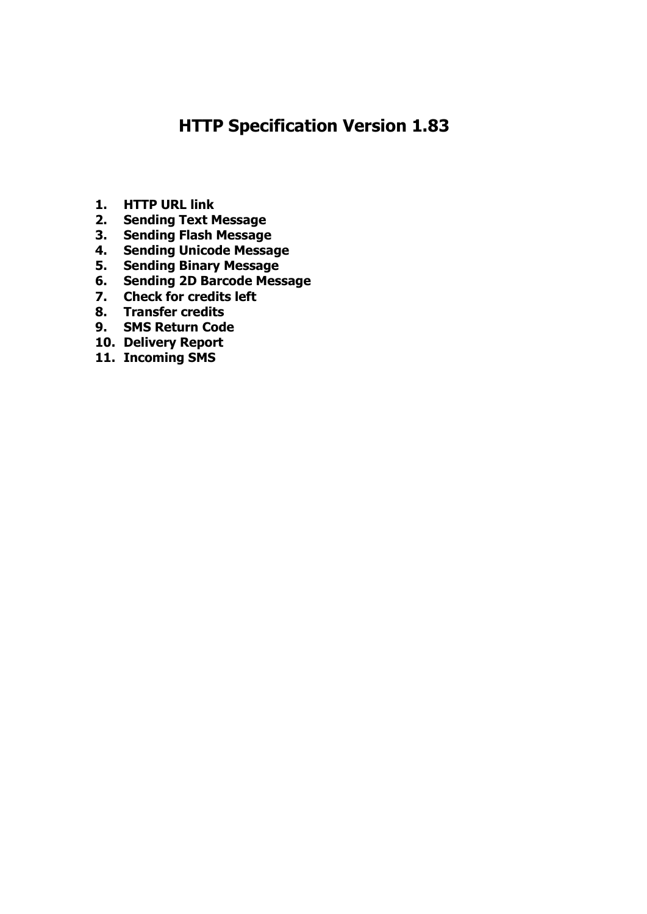# **HTTP Specification Version 1.83**

- **1. HTTP URL link**
- **2. Sending Text Message**
- **3. Sending Flash Message**
- **4. Sending Unicode Message**
- **5. Sending Binary Message**
- **6. Sending 2D Barcode Message**
- **7. Check for credits left**
- **8. Transfer credits**
- **9. SMS Return Code**
- **10. Delivery Report**
- **11. Incoming SMS**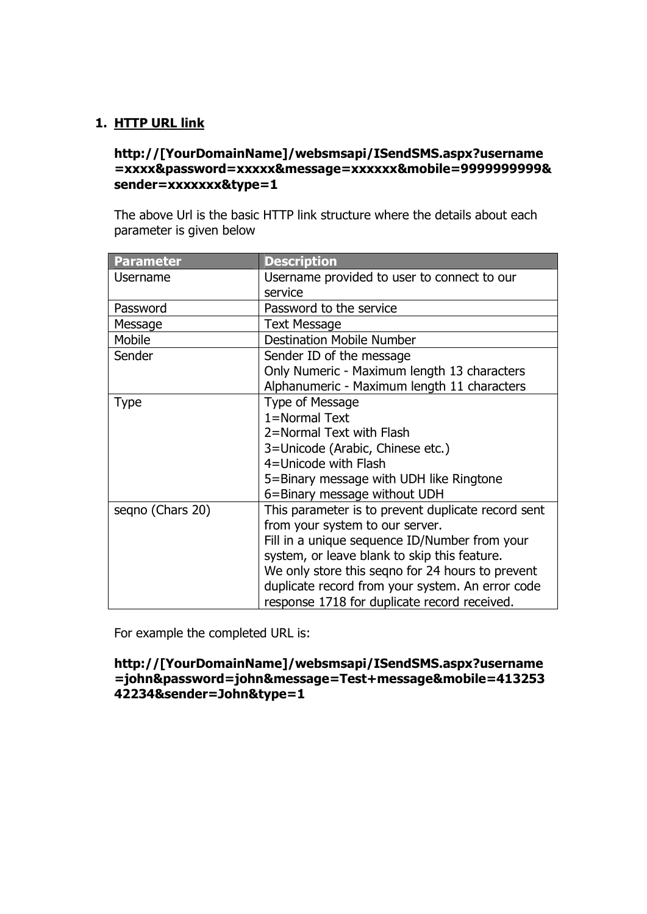## **1. HTTP URL link**

#### **http://[YourDomainName]/websmsapi/ISendSMS.aspx?username =xxxx&password=xxxxx&message=xxxxxx&mobile=9999999999& sender=xxxxxxx&type=1**

The above Url is the basic HTTP link structure where the details about each parameter is given below

| <b>Parameter</b> | <b>Description</b>                                 |
|------------------|----------------------------------------------------|
| Username         | Username provided to user to connect to our        |
|                  | service                                            |
| Password         | Password to the service                            |
| Message          | <b>Text Message</b>                                |
| Mobile           | <b>Destination Mobile Number</b>                   |
| Sender           | Sender ID of the message                           |
|                  | Only Numeric - Maximum length 13 characters        |
|                  | Alphanumeric - Maximum length 11 characters        |
| <b>Type</b>      | Type of Message                                    |
|                  | 1=Normal Text                                      |
|                  | 2=Normal Text with Flash                           |
|                  | 3=Unicode (Arabic, Chinese etc.)                   |
|                  | 4=Unicode with Flash                               |
|                  | 5=Binary message with UDH like Ringtone            |
|                  | 6=Binary message without UDH                       |
| seqno (Chars 20) | This parameter is to prevent duplicate record sent |
|                  | from your system to our server.                    |
|                  | Fill in a unique sequence ID/Number from your      |
|                  | system, or leave blank to skip this feature.       |
|                  | We only store this segno for 24 hours to prevent   |
|                  | duplicate record from your system. An error code   |
|                  | response 1718 for duplicate record received.       |

For example the completed URL is:

#### **http://[YourDomainName]/websmsapi/ISendSMS.aspx?username =john&password=john&message=Test+message&mobile=413253 42234&sender=John&type=1**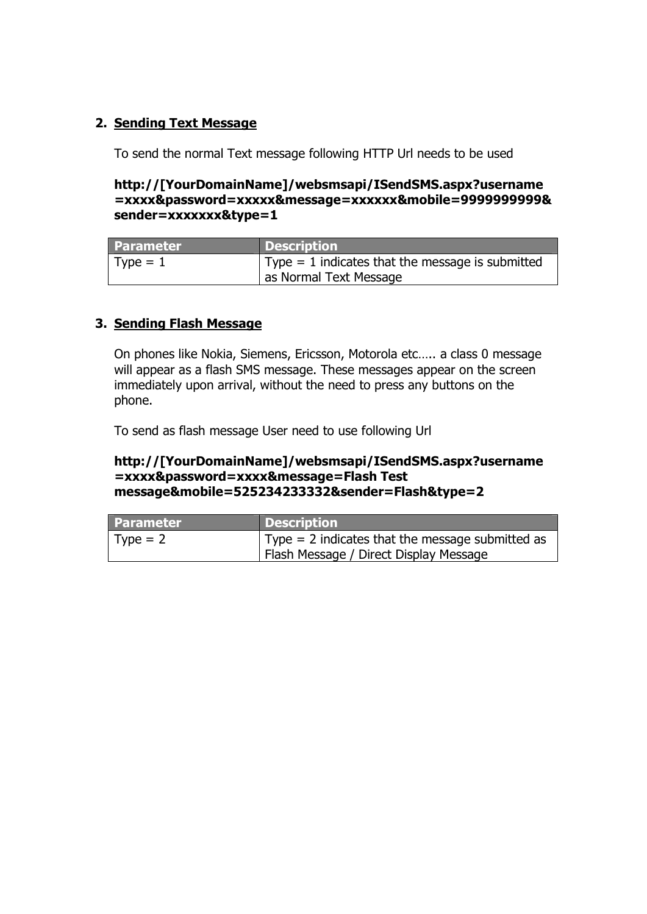## **2. Sending Text Message**

To send the normal Text message following HTTP Url needs to be used

#### **http://[YourDomainName]/websmsapi/ISendSMS.aspx?username =xxxx&password=xxxxx&message=xxxxxx&mobile=9999999999& sender=xxxxxxx&type=1**

| <b>Parameter</b> | <b>Description</b>                                       |
|------------------|----------------------------------------------------------|
| $Type = 1$       | $\vert$ Type = 1 indicates that the message is submitted |
|                  | as Normal Text Message                                   |

# **3. Sending Flash Message**

On phones like Nokia, Siemens, Ericsson, Motorola etc….. a class 0 message will appear as a flash SMS message. These messages appear on the screen immediately upon arrival, without the need to press any buttons on the phone.

To send as flash message User need to use following Url

#### **http://[YourDomainName]/websmsapi/ISendSMS.aspx?username =xxxx&password=xxxx&message=Flash Test message&mobile=525234233332&sender=Flash&type=2**

| <b>Parameter</b> | <b>Description</b>                                       |
|------------------|----------------------------------------------------------|
| $\vert$ Type = 2 | $\vert$ Type = 2 indicates that the message submitted as |
|                  | Flash Message / Direct Display Message                   |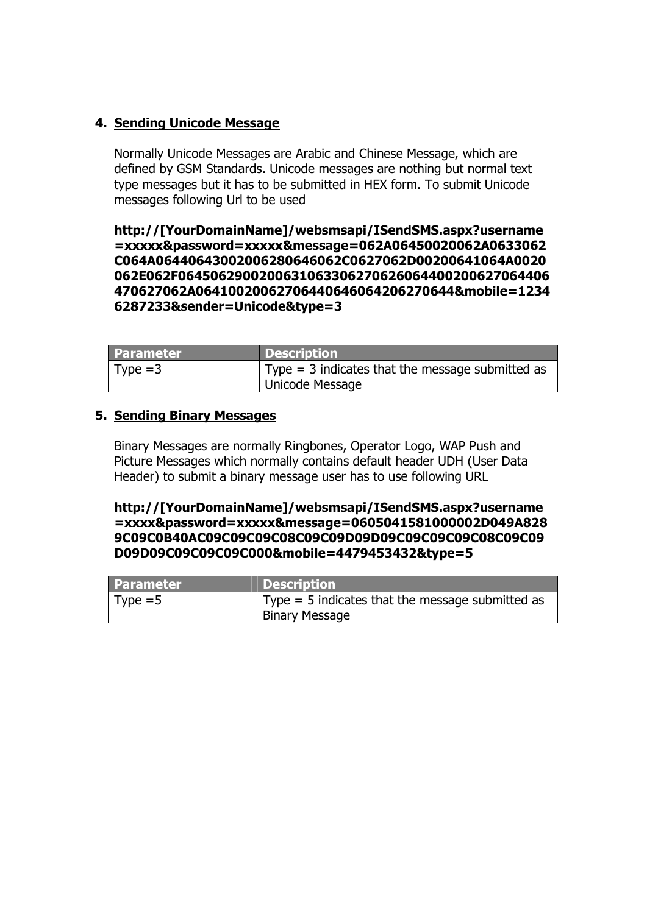# **4. Sending Unicode Message**

Normally Unicode Messages are Arabic and Chinese Message, which are defined by GSM Standards. Unicode messages are nothing but normal text type messages but it has to be submitted in HEX form. To submit Unicode messages following Url to be used

**http://[YourDomainName]/websmsapi/ISendSMS.aspx?username =xxxxx&password=xxxxx&message=062A06450020062A0633062 C064A06440643002006280646062C0627062D00200641064A0020 062E062F0645062900200631063306270626064400200627064406 470627062A06410020062706440646064206270644&mobile=1234 6287233&sender=Unicode&type=3** 

| l Parameter | <b>Description</b>                                       |
|-------------|----------------------------------------------------------|
| Type $=3$   | $\vert$ Type = 3 indicates that the message submitted as |
|             | Unicode Message                                          |

#### **5. Sending Binary Messages**

Binary Messages are normally Ringbones, Operator Logo, WAP Push and Picture Messages which normally contains default header UDH (User Data Header) to submit a binary message user has to use following URL

**http://[YourDomainName]/websmsapi/ISendSMS.aspx?username =xxxx&password=xxxxx&message=0605041581000002D049A828 9C09C0B40AC09C09C09C08C09C09D09D09C09C09C09C08C09C09 D09D09C09C09C09C000&mobile=4479453432&type=5** 

| <b>Parameter</b> | <b>Description</b>                                       |
|------------------|----------------------------------------------------------|
| Type = $5$       | $\vert$ Type = 5 indicates that the message submitted as |
|                  | <b>Binary Message</b>                                    |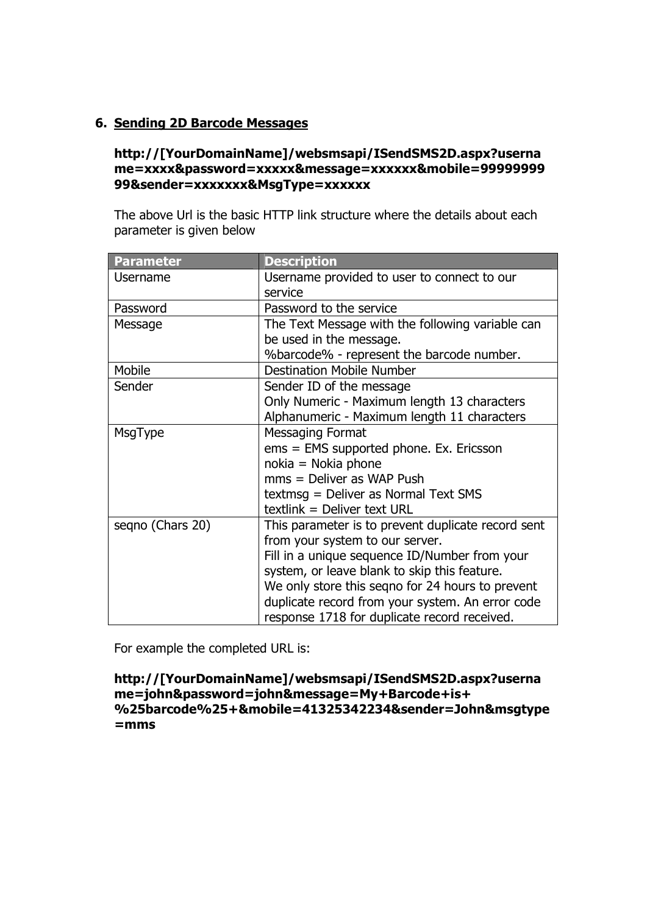## **6. Sending 2D Barcode Messages**

#### **http://[YourDomainName]/websmsapi/ISendSMS2D.aspx?userna me=xxxx&password=xxxxx&message=xxxxxx&mobile=99999999 99&sender=xxxxxxx&MsgType=xxxxxx**

The above Url is the basic HTTP link structure where the details about each parameter is given below

| <b>Parameter</b> | <b>Description</b>                                 |
|------------------|----------------------------------------------------|
| Username         | Username provided to user to connect to our        |
|                  | service                                            |
| Password         | Password to the service                            |
| Message          | The Text Message with the following variable can   |
|                  | be used in the message.                            |
|                  | %barcode% - represent the barcode number.          |
| Mobile           | <b>Destination Mobile Number</b>                   |
| Sender           | Sender ID of the message                           |
|                  | Only Numeric - Maximum length 13 characters        |
|                  | Alphanumeric - Maximum length 11 characters        |
| MsgType          | <b>Messaging Format</b>                            |
|                  | ems = EMS supported phone. Ex. Ericsson            |
|                  | $nokia = Nokia phone$                              |
|                  | $mms =$ Deliver as WAP Push                        |
|                  | textmsg = Deliver as Normal Text SMS               |
|                  | textlink = Deliver text URL                        |
| seqno (Chars 20) | This parameter is to prevent duplicate record sent |
|                  | from your system to our server.                    |
|                  | Fill in a unique sequence ID/Number from your      |
|                  | system, or leave blank to skip this feature.       |
|                  | We only store this seqno for 24 hours to prevent   |
|                  | duplicate record from your system. An error code   |
|                  | response 1718 for duplicate record received.       |

For example the completed URL is:

**http://[YourDomainName]/websmsapi/ISendSMS2D.aspx?userna me=john&password=john&message=My+Barcode+is+ %25barcode%25+&mobile=41325342234&sender=John&msgtype =mms**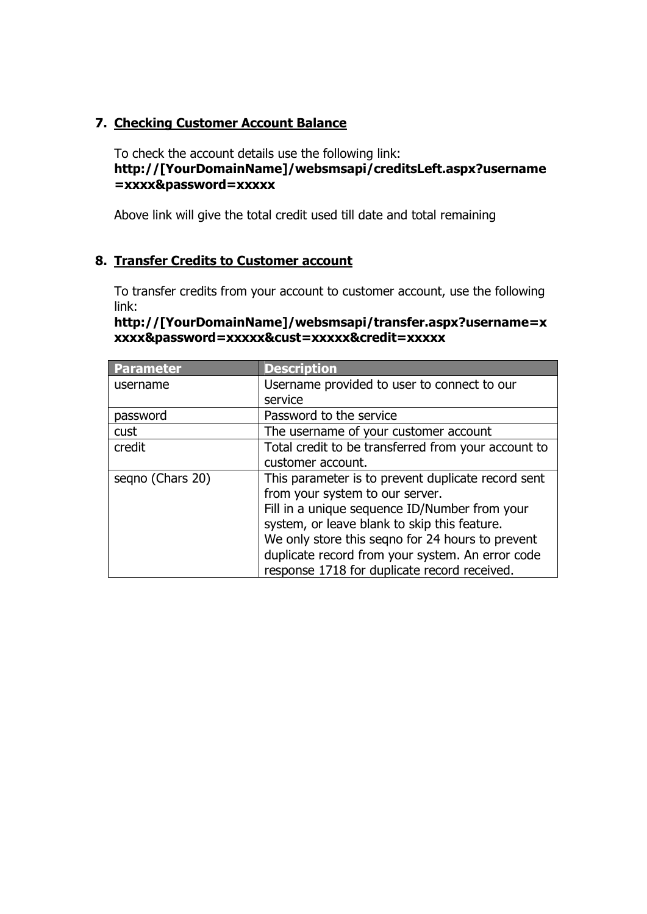# **7. Checking Customer Account Balance**

To check the account details use the following link: **http://[YourDomainName]/websmsapi/creditsLeft.aspx?username =xxxx&password=xxxxx** 

Above link will give the total credit used till date and total remaining

# **8. Transfer Credits to Customer account**

To transfer credits from your account to customer account, use the following link:

| http://[YourDomainName]/websmsapi/transfer.aspx?username=x |
|------------------------------------------------------------|
| xxxx&password=xxxxx&cust=xxxxx&credit=xxxxx                |

| Parameter        | <b>Description</b>                                  |
|------------------|-----------------------------------------------------|
| username         | Username provided to user to connect to our         |
|                  | service                                             |
| password         | Password to the service                             |
| cust             | The username of your customer account               |
| credit           | Total credit to be transferred from your account to |
|                  | customer account.                                   |
| segno (Chars 20) | This parameter is to prevent duplicate record sent  |
|                  | from your system to our server.                     |
|                  | Fill in a unique sequence ID/Number from your       |
|                  | system, or leave blank to skip this feature.        |
|                  | We only store this segno for 24 hours to prevent    |
|                  | duplicate record from your system. An error code    |
|                  | response 1718 for duplicate record received.        |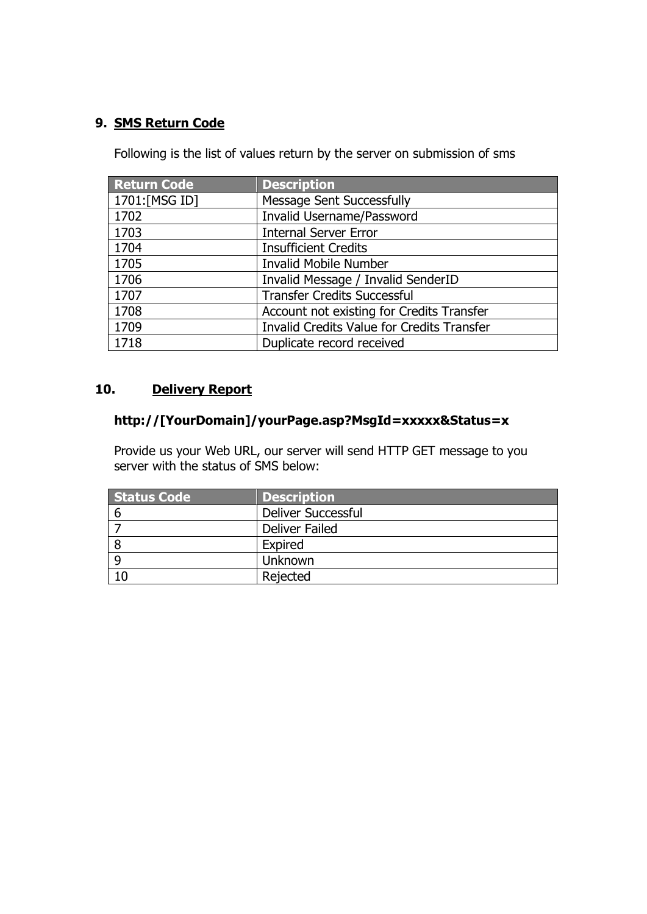# **9. SMS Return Code**

Following is the list of values return by the server on submission of sms

| <b>Return Code</b> | <b>Description</b>                                |
|--------------------|---------------------------------------------------|
| 1701:[MSG ID]      | <b>Message Sent Successfully</b>                  |
| 1702               | Invalid Username/Password                         |
| 1703               | <b>Internal Server Error</b>                      |
| 1704               | <b>Insufficient Credits</b>                       |
| 1705               | <b>Invalid Mobile Number</b>                      |
| 1706               | Invalid Message / Invalid SenderID                |
| 1707               | <b>Transfer Credits Successful</b>                |
| 1708               | Account not existing for Credits Transfer         |
| 1709               | <b>Invalid Credits Value for Credits Transfer</b> |
| 1718               | Duplicate record received                         |

## **10. Delivery Report**

#### **http://[YourDomain]/yourPage.asp?MsgId=xxxxx&Status=x**

Provide us your Web URL, our server will send HTTP GET message to you server with the status of SMS below:

| Status Code | <b>Description</b>        |
|-------------|---------------------------|
| -6          | <b>Deliver Successful</b> |
|             | <b>Deliver Failed</b>     |
|             | Expired                   |
|             | Unknown                   |
| 10          | Rejected                  |